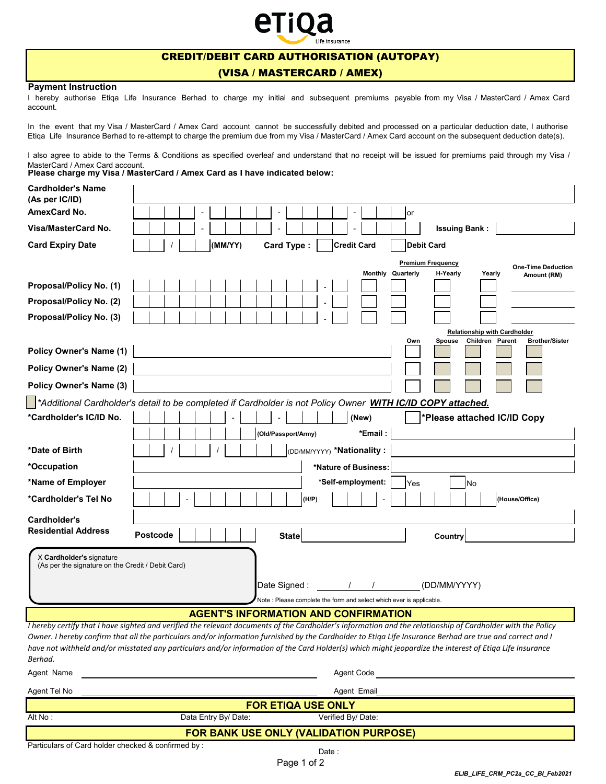# etioa surance

## CREDIT/DEBIT CARD AUTHORISATION (AUTOPAY)

### (VISA / MASTERCARD / AMEX)

#### **Payment Instruction**

I hereby authorise Etiqa Life Insurance Berhad to charge my initial and subsequent premiums payable from my Visa / MasterCard / Amex Card account.

In the event that my Visa / MasterCard / Amex Card account cannot be successfully debited and processed on a particular deduction date, I authorise Etiqa Life Insurance Berhad to re-attempt to charge the premium due from my Visa / MasterCard / Amex Card account on the subsequent deduction date(s).

I also agree to abide to the Terms & Conditions as specified overleaf and understand that no receipt will be issued for premiums paid through my Visa / MasterCard / Amex Card account.

**Please charge my Visa / MasterCard / Amex Card as I have indicated below:**

| <b>Cardholder's Name</b><br>(As per IC/ID)                                    |                                                                                                                                                                                                                                                                                                                      |
|-------------------------------------------------------------------------------|----------------------------------------------------------------------------------------------------------------------------------------------------------------------------------------------------------------------------------------------------------------------------------------------------------------------|
| AmexCard No.                                                                  | or<br>$\overline{\phantom{a}}$                                                                                                                                                                                                                                                                                       |
| Visa/MasterCard No.                                                           | <b>Issuing Bank:</b>                                                                                                                                                                                                                                                                                                 |
| <b>Card Expiry Date</b>                                                       | (MM/YY)<br>Card Type:<br><b>Credit Card</b><br><b>Debit Card</b>                                                                                                                                                                                                                                                     |
|                                                                               | <b>Premium Frequency</b>                                                                                                                                                                                                                                                                                             |
|                                                                               | <b>One-Time Deduction</b><br><b>Monthly Quarterly</b><br>H-Yearly<br>Yearly<br>Amount (RM)                                                                                                                                                                                                                           |
| Proposal/Policy No. (1)                                                       |                                                                                                                                                                                                                                                                                                                      |
| Proposal/Policy No. (2)                                                       |                                                                                                                                                                                                                                                                                                                      |
| Proposal/Policy No. (3)                                                       |                                                                                                                                                                                                                                                                                                                      |
|                                                                               | <b>Relationship with Cardholder</b>                                                                                                                                                                                                                                                                                  |
| <b>Policy Owner's Name (1)</b>                                                | Children Parent<br>Own<br><b>Spouse</b><br><b>Brother/Sister</b>                                                                                                                                                                                                                                                     |
| <b>Policy Owner's Name (2)</b>                                                |                                                                                                                                                                                                                                                                                                                      |
| <b>Policy Owner's Name (3)</b>                                                |                                                                                                                                                                                                                                                                                                                      |
|                                                                               | *Additional Cardholder's detail to be completed if Cardholder is not Policy Owner WITH IC/ID COPY attached.                                                                                                                                                                                                          |
| *Cardholder's IC/ID No.                                                       | (New)<br>*Please attached IC/ID Copy                                                                                                                                                                                                                                                                                 |
|                                                                               | (Old/Passport/Army)<br>*Email:                                                                                                                                                                                                                                                                                       |
| *Date of Birth                                                                | (DD/MM/YYYY) *Nationality:                                                                                                                                                                                                                                                                                           |
| *Occupation                                                                   | *Nature of Business:                                                                                                                                                                                                                                                                                                 |
| *Name of Employer                                                             | *Self-employment:<br>Yes<br>No                                                                                                                                                                                                                                                                                       |
| *Cardholder's Tel No                                                          | (H/P)<br>(House/Office)                                                                                                                                                                                                                                                                                              |
|                                                                               |                                                                                                                                                                                                                                                                                                                      |
| Cardholder's<br><b>Residential Address</b>                                    |                                                                                                                                                                                                                                                                                                                      |
|                                                                               | Postcode<br><b>State</b><br>Country                                                                                                                                                                                                                                                                                  |
| X Cardholder's signature<br>(As per the signature on the Credit / Debit Card) | (DD/MM/YYYY)<br>Date Signed:                                                                                                                                                                                                                                                                                         |
|                                                                               | Note : Please complete the form and select which ever is applicable.                                                                                                                                                                                                                                                 |
|                                                                               | <b>AGENT'S INFORMATION AND CONFIRMATION</b><br>I hereby certify that I have sighted and verified the relevant documents of the Cardholder's information and the relationship of Cardholder with the Policy                                                                                                           |
| Berhad.                                                                       | Owner. I hereby confirm that all the particulars and/or information furnished by the Cardholder to Etiqa Life Insurance Berhad are true and correct and I<br>have not withheld and/or misstated any particulars and/or information of the Card Holder(s) which might jeopardize the interest of Etiqa Life Insurance |
| Agent Name                                                                    | Agent Code                                                                                                                                                                                                                                                                                                           |
| Agent Tel No                                                                  | Agent Email                                                                                                                                                                                                                                                                                                          |
|                                                                               | <b>FOR ETIQA USE ONLY</b>                                                                                                                                                                                                                                                                                            |
| Alt No:                                                                       | Data Entry By/Date:<br>Verified By/Date:                                                                                                                                                                                                                                                                             |

**FOR BANK USE ONLY (VALIDATION PURPOSE)**